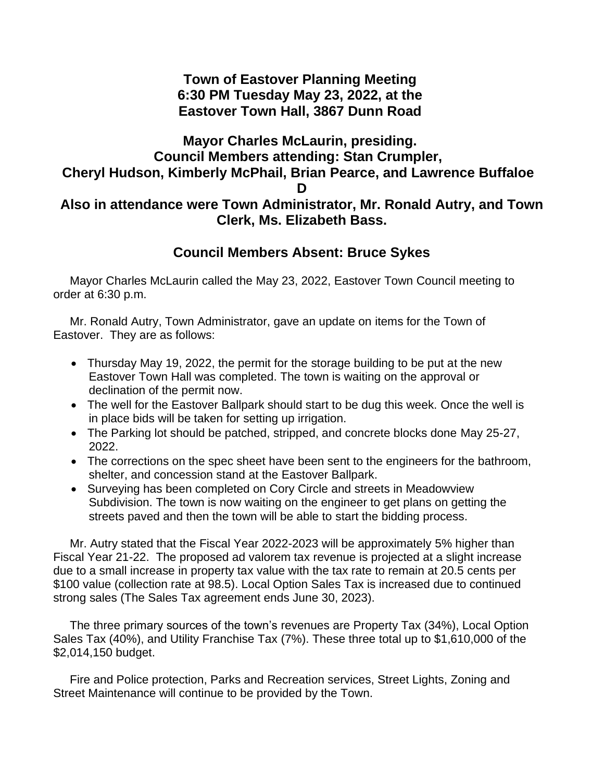## **Town of Eastover Planning Meeting 6:30 PM Tuesday May 23, 2022, at the Eastover Town Hall, 3867 Dunn Road**

## **Mayor Charles McLaurin, presiding. Council Members attending: Stan Crumpler, Cheryl Hudson, Kimberly McPhail, Brian Pearce, and Lawrence Buffaloe D Also in attendance were Town Administrator, Mr. Ronald Autry, and Town Clerk, Ms. Elizabeth Bass.**

## **Council Members Absent: Bruce Sykes**

 Mayor Charles McLaurin called the May 23, 2022, Eastover Town Council meeting to order at 6:30 p.m.

 Mr. Ronald Autry, Town Administrator, gave an update on items for the Town of Eastover. They are as follows:

- Thursday May 19, 2022, the permit for the storage building to be put at the new Eastover Town Hall was completed. The town is waiting on the approval or declination of the permit now.
- The well for the Eastover Ballpark should start to be dug this week. Once the well is in place bids will be taken for setting up irrigation.
- The Parking lot should be patched, stripped, and concrete blocks done May 25-27, 2022.
- The corrections on the spec sheet have been sent to the engineers for the bathroom, shelter, and concession stand at the Eastover Ballpark.
- Surveying has been completed on Cory Circle and streets in Meadowview Subdivision. The town is now waiting on the engineer to get plans on getting the streets paved and then the town will be able to start the bidding process.

 Mr. Autry stated that the Fiscal Year 2022-2023 will be approximately 5% higher than Fiscal Year 21-22. The proposed ad valorem tax revenue is projected at a slight increase due to a small increase in property tax value with the tax rate to remain at 20.5 cents per \$100 value (collection rate at 98.5). Local Option Sales Tax is increased due to continued strong sales (The Sales Tax agreement ends June 30, 2023).

 The three primary sources of the town's revenues are Property Tax (34%), Local Option Sales Tax (40%), and Utility Franchise Tax (7%). These three total up to \$1,610,000 of the \$2,014,150 budget.

 Fire and Police protection, Parks and Recreation services, Street Lights, Zoning and Street Maintenance will continue to be provided by the Town.